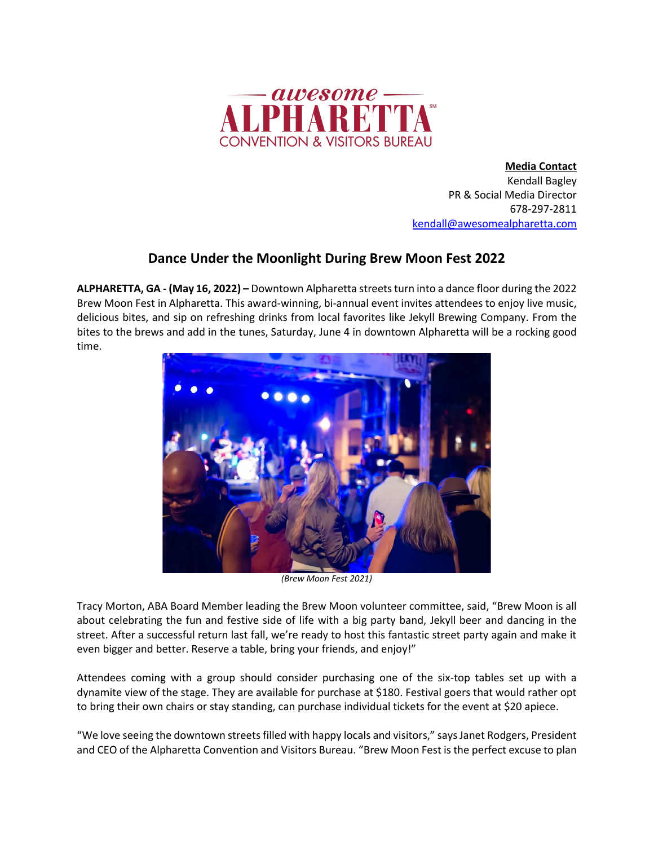

**Media Contact** Kendall Bagley PR & Social Media Director 678-297-2811 kendall@awesomealpharetta.com

## **Dance Under the Moonlight During Brew Moon Fest 2022**

**ALPHARETTA, GA - (May 16, 2022) –** Downtown Alpharetta streets turn into a dance floor during the 2022 Brew Moon Fest in Alpharetta. This award-winning, bi-annual event invites attendees to enjoy live music, delicious bites, and sip on refreshing drinks from local favorites like Jekyll Brewing Company. From the bites to the brews and add in the tunes, Saturday, June 4 in downtown Alpharetta will be a rocking good time.



*(Brew Moon Fest 2021)*

Tracy Morton, ABA Board Member leading the Brew Moon volunteer committee, said, "Brew Moon is all about celebrating the fun and festive side of life with a big party band, Jekyll beer and dancing in the street. After a successful return last fall, we're ready to host this fantastic street party again and make it even bigger and better. Reserve a table, bring your friends, and enjoy!"

Attendees coming with a group should consider purchasing one of the six-top tables set up with a dynamite view of the stage. They are available for purchase at \$180. Festival goers that would rather opt to bring their own chairs or stay standing, can purchase individual tickets for the event at \$20 apiece.

"We love seeing the downtown streets filled with happy locals and visitors," says Janet Rodgers, President and CEO of the Alpharetta Convention and Visitors Bureau. "Brew Moon Fest is the perfect excuse to plan